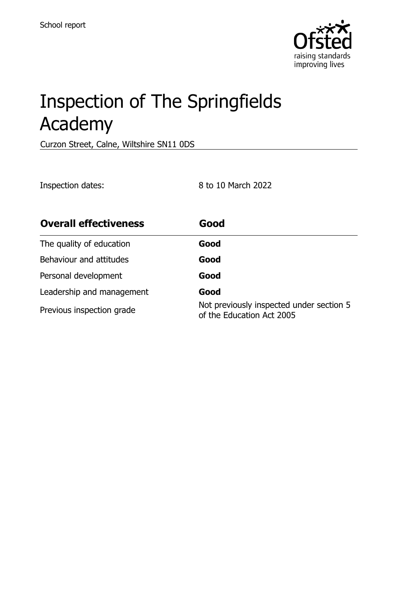

# Inspection of The Springfields Academy

Curzon Street, Calne, Wiltshire SN11 0DS

Inspection dates: 8 to 10 March 2022

| <b>Overall effectiveness</b> | Good                                                                  |
|------------------------------|-----------------------------------------------------------------------|
| The quality of education     | Good                                                                  |
| Behaviour and attitudes      | Good                                                                  |
| Personal development         | Good                                                                  |
| Leadership and management    | Good                                                                  |
| Previous inspection grade    | Not previously inspected under section 5<br>of the Education Act 2005 |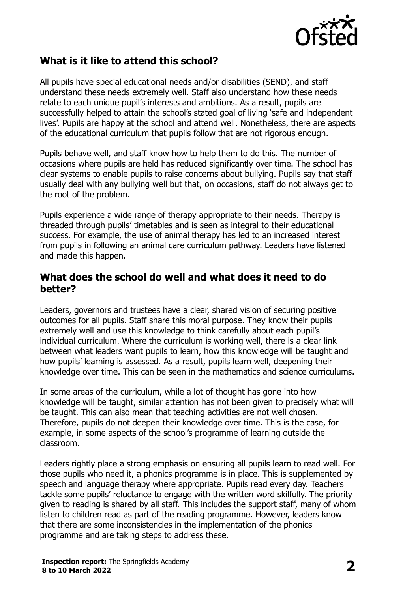

# **What is it like to attend this school?**

All pupils have special educational needs and/or disabilities (SEND), and staff understand these needs extremely well. Staff also understand how these needs relate to each unique pupil's interests and ambitions. As a result, pupils are successfully helped to attain the school's stated goal of living 'safe and independent lives'. Pupils are happy at the school and attend well. Nonetheless, there are aspects of the educational curriculum that pupils follow that are not rigorous enough.

Pupils behave well, and staff know how to help them to do this. The number of occasions where pupils are held has reduced significantly over time. The school has clear systems to enable pupils to raise concerns about bullying. Pupils say that staff usually deal with any bullying well but that, on occasions, staff do not always get to the root of the problem.

Pupils experience a wide range of therapy appropriate to their needs. Therapy is threaded through pupils' timetables and is seen as integral to their educational success. For example, the use of animal therapy has led to an increased interest from pupils in following an animal care curriculum pathway. Leaders have listened and made this happen.

#### **What does the school do well and what does it need to do better?**

Leaders, governors and trustees have a clear, shared vision of securing positive outcomes for all pupils. Staff share this moral purpose. They know their pupils extremely well and use this knowledge to think carefully about each pupil's individual curriculum. Where the curriculum is working well, there is a clear link between what leaders want pupils to learn, how this knowledge will be taught and how pupils' learning is assessed. As a result, pupils learn well, deepening their knowledge over time. This can be seen in the mathematics and science curriculums.

In some areas of the curriculum, while a lot of thought has gone into how knowledge will be taught, similar attention has not been given to precisely what will be taught. This can also mean that teaching activities are not well chosen. Therefore, pupils do not deepen their knowledge over time. This is the case, for example, in some aspects of the school's programme of learning outside the classroom.

Leaders rightly place a strong emphasis on ensuring all pupils learn to read well. For those pupils who need it, a phonics programme is in place. This is supplemented by speech and language therapy where appropriate. Pupils read every day. Teachers tackle some pupils' reluctance to engage with the written word skilfully. The priority given to reading is shared by all staff. This includes the support staff, many of whom listen to children read as part of the reading programme. However, leaders know that there are some inconsistencies in the implementation of the phonics programme and are taking steps to address these.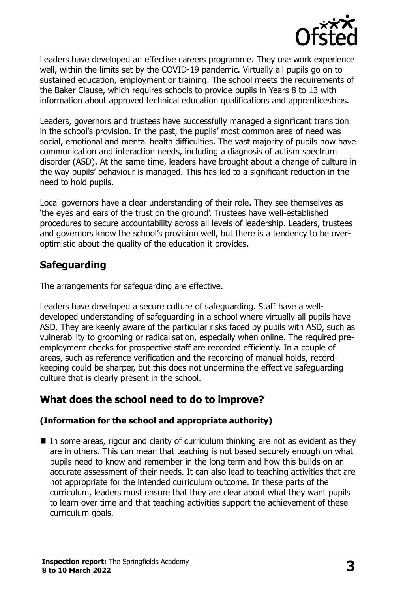

Leaders have developed an effective careers programme. They use work experience well, within the limits set by the COVID-19 pandemic. Virtually all pupils go on to sustained education, employment or training. The school meets the requirements of the Baker Clause, which requires schools to provide pupils in Years 8 to 13 with information about approved technical education qualifications and apprenticeships.

Leaders, governors and trustees have successfully managed a significant transition in the school's provision. In the past, the pupils' most common area of need was social, emotional and mental health difficulties. The vast majority of pupils now have communication and interaction needs, including a diagnosis of autism spectrum disorder (ASD). At the same time, leaders have brought about a change of culture in the way pupils' behaviour is managed. This has led to a significant reduction in the need to hold pupils.

Local governors have a clear understanding of their role. They see themselves as 'the eyes and ears of the trust on the ground'. Trustees have well-established procedures to secure accountability across all levels of leadership. Leaders, trustees and governors know the school's provision well, but there is a tendency to be overoptimistic about the quality of the education it provides.

# **Safeguarding**

The arrangements for safeguarding are effective.

Leaders have developed a secure culture of safeguarding. Staff have a welldeveloped understanding of safeguarding in a school where virtually all pupils have ASD. They are keenly aware of the particular risks faced by pupils with ASD, such as vulnerability to grooming or radicalisation, especially when online. The required preemployment checks for prospective staff are recorded efficiently. In a couple of areas, such as reference verification and the recording of manual holds, recordkeeping could be sharper, but this does not undermine the effective safeguarding culture that is clearly present in the school.

# **What does the school need to do to improve?**

#### **(Information for the school and appropriate authority)**

 $\blacksquare$  In some areas, rigour and clarity of curriculum thinking are not as evident as they are in others. This can mean that teaching is not based securely enough on what pupils need to know and remember in the long term and how this builds on an accurate assessment of their needs. It can also lead to teaching activities that are not appropriate for the intended curriculum outcome. In these parts of the curriculum, leaders must ensure that they are clear about what they want pupils to learn over time and that teaching activities support the achievement of these curriculum goals.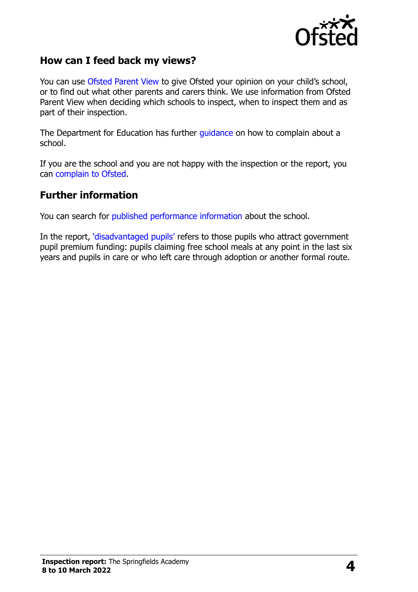

### **How can I feed back my views?**

You can use [Ofsted Parent View](http://parentview.ofsted.gov.uk/) to give Ofsted your opinion on your child's school, or to find out what other parents and carers think. We use information from Ofsted Parent View when deciding which schools to inspect, when to inspect them and as part of their inspection.

The Department for Education has further [guidance](http://www.gov.uk/complain-about-school) on how to complain about a school.

If you are the school and you are not happy with the inspection or the report, you can [complain to Ofsted.](http://www.gov.uk/complain-ofsted-report)

#### **Further information**

You can search for [published performance information](http://www.compare-school-performance.service.gov.uk/) about the school.

In the report, '[disadvantaged pupils](http://www.gov.uk/guidance/pupil-premium-information-for-schools-and-alternative-provision-settings)' refers to those pupils who attract government pupil premium funding: pupils claiming free school meals at any point in the last six years and pupils in care or who left care through adoption or another formal route.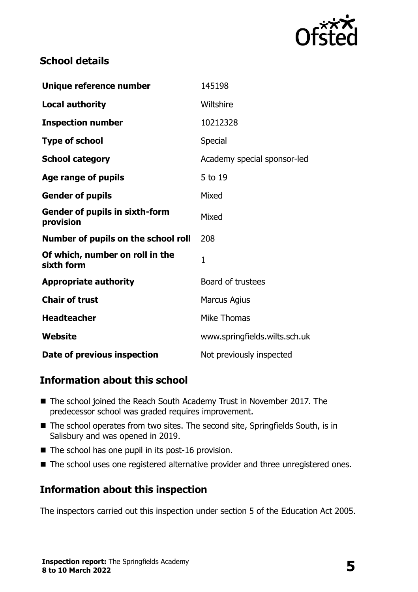

# **School details**

| Unique reference number                            | 145198                        |
|----------------------------------------------------|-------------------------------|
| <b>Local authority</b>                             | Wiltshire                     |
| <b>Inspection number</b>                           | 10212328                      |
| <b>Type of school</b>                              | Special                       |
| <b>School category</b>                             | Academy special sponsor-led   |
| Age range of pupils                                | 5 to 19                       |
| <b>Gender of pupils</b>                            | Mixed                         |
| <b>Gender of pupils in sixth-form</b><br>provision | Mixed                         |
| Number of pupils on the school roll                | 208                           |
| Of which, number on roll in the<br>sixth form      | $\mathbf{1}$                  |
| <b>Appropriate authority</b>                       | Board of trustees             |
| <b>Chair of trust</b>                              | <b>Marcus Agius</b>           |
| <b>Headteacher</b>                                 | <b>Mike Thomas</b>            |
| Website                                            | www.springfields.wilts.sch.uk |
| Date of previous inspection                        | Not previously inspected      |

# **Information about this school**

- The school joined the Reach South Academy Trust in November 2017. The predecessor school was graded requires improvement.
- The school operates from two sites. The second site, Springfields South, is in Salisbury and was opened in 2019.
- $\blacksquare$  The school has one pupil in its post-16 provision.
- The school uses one registered alternative provider and three unregistered ones.

### **Information about this inspection**

The inspectors carried out this inspection under section 5 of the Education Act 2005.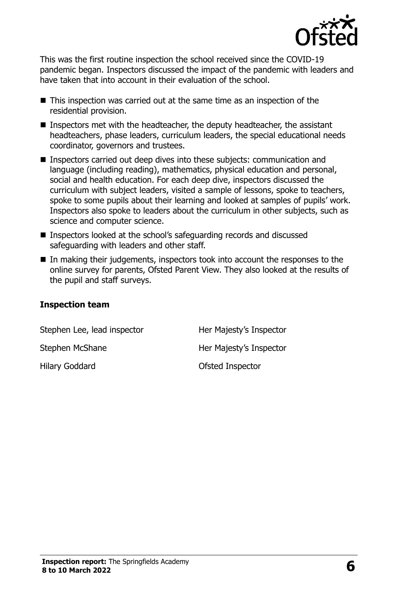

This was the first routine inspection the school received since the COVID-19 pandemic began. Inspectors discussed the impact of the pandemic with leaders and have taken that into account in their evaluation of the school.

- This inspection was carried out at the same time as an inspection of the residential provision.
- Inspectors met with the headteacher, the deputy headteacher, the assistant headteachers, phase leaders, curriculum leaders, the special educational needs coordinator, governors and trustees.
- Inspectors carried out deep dives into these subjects: communication and language (including reading), mathematics, physical education and personal, social and health education. For each deep dive, inspectors discussed the curriculum with subject leaders, visited a sample of lessons, spoke to teachers, spoke to some pupils about their learning and looked at samples of pupils' work. Inspectors also spoke to leaders about the curriculum in other subjects, such as science and computer science.
- Inspectors looked at the school's safeguarding records and discussed safeguarding with leaders and other staff.
- $\blacksquare$  In making their judgements, inspectors took into account the responses to the online survey for parents, Ofsted Parent View. They also looked at the results of the pupil and staff surveys.

#### **Inspection team**

| Stephen Lee, lead inspector | Her Majesty's Inspector |
|-----------------------------|-------------------------|
| Stephen McShane             | Her Majesty's Inspector |
| Hilary Goddard              | Ofsted Inspector        |